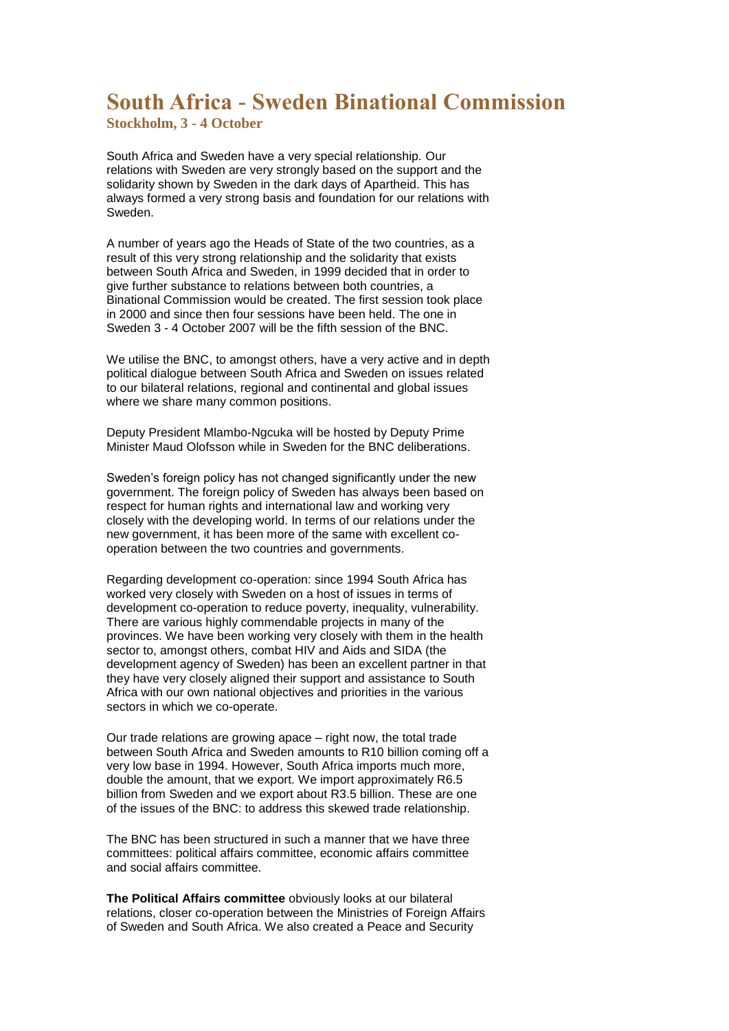## **South Africa - Sweden Binational Commission**

**Stockholm, 3 - 4 October**

South Africa and Sweden have a very special relationship. Our relations with Sweden are very strongly based on the support and the solidarity shown by Sweden in the dark days of Apartheid. This has always formed a very strong basis and foundation for our relations with Sweden.

A number of years ago the Heads of State of the two countries, as a result of this very strong relationship and the solidarity that exists between South Africa and Sweden, in 1999 decided that in order to give further substance to relations between both countries, a Binational Commission would be created. The first session took place in 2000 and since then four sessions have been held. The one in Sweden 3 - 4 October 2007 will be the fifth session of the BNC.

We utilise the BNC, to amongst others, have a very active and in depth political dialogue between South Africa and Sweden on issues related to our bilateral relations, regional and continental and global issues where we share many common positions.

Deputy President Mlambo-Ngcuka will be hosted by Deputy Prime Minister Maud Olofsson while in Sweden for the BNC deliberations.

Sweden's foreign policy has not changed significantly under the new government. The foreign policy of Sweden has always been based on respect for human rights and international law and working very closely with the developing world. In terms of our relations under the new government, it has been more of the same with excellent cooperation between the two countries and governments.

Regarding development co-operation: since 1994 South Africa has worked very closely with Sweden on a host of issues in terms of development co-operation to reduce poverty, inequality, vulnerability. There are various highly commendable projects in many of the provinces. We have been working very closely with them in the health sector to, amongst others, combat HIV and Aids and SIDA (the development agency of Sweden) has been an excellent partner in that they have very closely aligned their support and assistance to South Africa with our own national objectives and priorities in the various sectors in which we co-operate.

Our trade relations are growing apace – right now, the total trade between South Africa and Sweden amounts to R10 billion coming off a very low base in 1994. However, South Africa imports much more, double the amount, that we export. We import approximately R6.5 billion from Sweden and we export about R3.5 billion. These are one of the issues of the BNC: to address this skewed trade relationship.

The BNC has been structured in such a manner that we have three committees: political affairs committee, economic affairs committee and social affairs committee.

**The Political Affairs committee** obviously looks at our bilateral relations, closer co-operation between the Ministries of Foreign Affairs of Sweden and South Africa. We also created a Peace and Security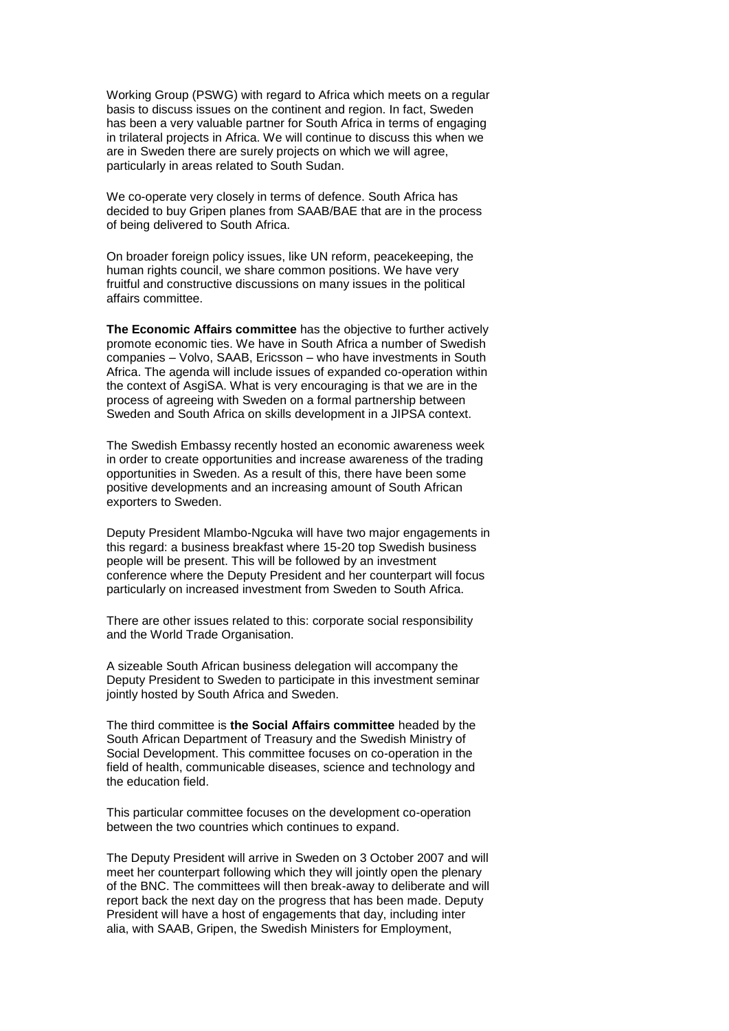Working Group (PSWG) with regard to Africa which meets on a regular basis to discuss issues on the continent and region. In fact, Sweden has been a very valuable partner for South Africa in terms of engaging in trilateral projects in Africa. We will continue to discuss this when we are in Sweden there are surely projects on which we will agree, particularly in areas related to South Sudan.

We co-operate very closely in terms of defence. South Africa has decided to buy Gripen planes from SAAB/BAE that are in the process of being delivered to South Africa.

On broader foreign policy issues, like UN reform, peacekeeping, the human rights council, we share common positions. We have very fruitful and constructive discussions on many issues in the political affairs committee.

**The Economic Affairs committee** has the objective to further actively promote economic ties. We have in South Africa a number of Swedish companies – Volvo, SAAB, Ericsson – who have investments in South Africa. The agenda will include issues of expanded co-operation within the context of AsgiSA. What is very encouraging is that we are in the process of agreeing with Sweden on a formal partnership between Sweden and South Africa on skills development in a JIPSA context.

The Swedish Embassy recently hosted an economic awareness week in order to create opportunities and increase awareness of the trading opportunities in Sweden. As a result of this, there have been some positive developments and an increasing amount of South African exporters to Sweden.

Deputy President Mlambo-Ngcuka will have two major engagements in this regard: a business breakfast where 15-20 top Swedish business people will be present. This will be followed by an investment conference where the Deputy President and her counterpart will focus particularly on increased investment from Sweden to South Africa.

There are other issues related to this: corporate social responsibility and the World Trade Organisation.

A sizeable South African business delegation will accompany the Deputy President to Sweden to participate in this investment seminar jointly hosted by South Africa and Sweden.

The third committee is **the Social Affairs committee** headed by the South African Department of Treasury and the Swedish Ministry of Social Development. This committee focuses on co-operation in the field of health, communicable diseases, science and technology and the education field.

This particular committee focuses on the development co-operation between the two countries which continues to expand.

The Deputy President will arrive in Sweden on 3 October 2007 and will meet her counterpart following which they will jointly open the plenary of the BNC. The committees will then break-away to deliberate and will report back the next day on the progress that has been made. Deputy President will have a host of engagements that day, including inter alia, with SAAB, Gripen, the Swedish Ministers for Employment,